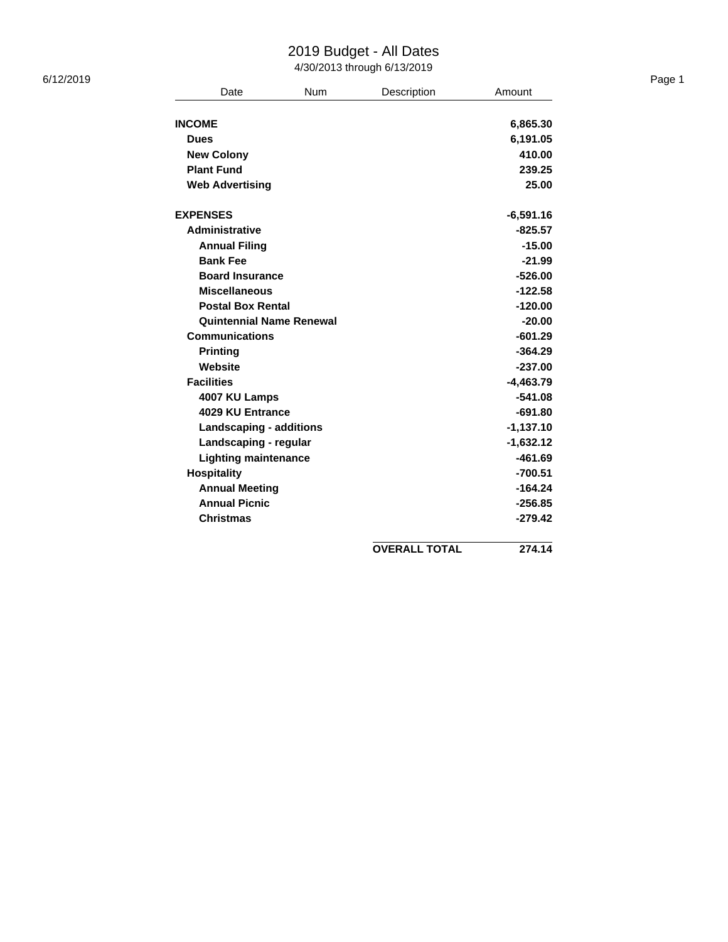## 2019 Budget - All Dates

4/30/2013 through 6/13/2019

|                             |                                                                                                  |                                                                                 |             | Page 1                                            |
|-----------------------------|--------------------------------------------------------------------------------------------------|---------------------------------------------------------------------------------|-------------|---------------------------------------------------|
| Date                        |                                                                                                  | Description                                                                     | Amount      |                                                   |
|                             |                                                                                                  |                                                                                 |             |                                                   |
|                             |                                                                                                  |                                                                                 |             |                                                   |
|                             |                                                                                                  |                                                                                 |             |                                                   |
|                             |                                                                                                  |                                                                                 |             |                                                   |
|                             |                                                                                                  |                                                                                 |             |                                                   |
|                             |                                                                                                  |                                                                                 |             |                                                   |
| <b>EXPENSES</b>             |                                                                                                  |                                                                                 | $-6,591.16$ |                                                   |
| Administrative              |                                                                                                  |                                                                                 | $-825.57$   |                                                   |
| <b>Annual Filing</b>        |                                                                                                  |                                                                                 | $-15.00$    |                                                   |
| <b>Bank Fee</b>             |                                                                                                  |                                                                                 | $-21.99$    |                                                   |
| <b>Board Insurance</b>      |                                                                                                  |                                                                                 | $-526.00$   |                                                   |
| <b>Miscellaneous</b>        |                                                                                                  |                                                                                 | $-122.58$   |                                                   |
| <b>Postal Box Rental</b>    |                                                                                                  |                                                                                 | $-120.00$   |                                                   |
|                             |                                                                                                  |                                                                                 | $-20.00$    |                                                   |
| <b>Communications</b>       |                                                                                                  |                                                                                 | $-601.29$   |                                                   |
| <b>Printing</b>             |                                                                                                  |                                                                                 | $-364.29$   |                                                   |
| <b>Website</b>              |                                                                                                  |                                                                                 | $-237.00$   |                                                   |
| <b>Facilities</b>           |                                                                                                  |                                                                                 | $-4,463.79$ |                                                   |
| 4007 KU Lamps               |                                                                                                  |                                                                                 | $-541.08$   |                                                   |
| 4029 KU Entrance            |                                                                                                  |                                                                                 | $-691.80$   |                                                   |
|                             |                                                                                                  |                                                                                 | $-1,137.10$ |                                                   |
| Landscaping - regular       |                                                                                                  |                                                                                 | $-1,632.12$ |                                                   |
| <b>Lighting maintenance</b> |                                                                                                  |                                                                                 | $-461.69$   |                                                   |
| <b>Hospitality</b>          |                                                                                                  |                                                                                 | $-700.51$   |                                                   |
| <b>Annual Meeting</b>       |                                                                                                  |                                                                                 | $-164.24$   |                                                   |
| <b>Annual Picnic</b>        |                                                                                                  |                                                                                 | $-256.85$   |                                                   |
| <b>Christmas</b>            |                                                                                                  |                                                                                 | $-279.42$   |                                                   |
|                             |                                                                                                  | <b>OVERALL TOTAL</b>                                                            | 274.14      |                                                   |
|                             | <b>INCOME</b><br><b>Dues</b><br><b>New Colony</b><br><b>Plant Fund</b><br><b>Web Advertising</b> | <b>Num</b><br><b>Quintennial Name Renewal</b><br><b>Landscaping - additions</b> |             | 6,865.30<br>6,191.05<br>410.00<br>239.25<br>25.00 |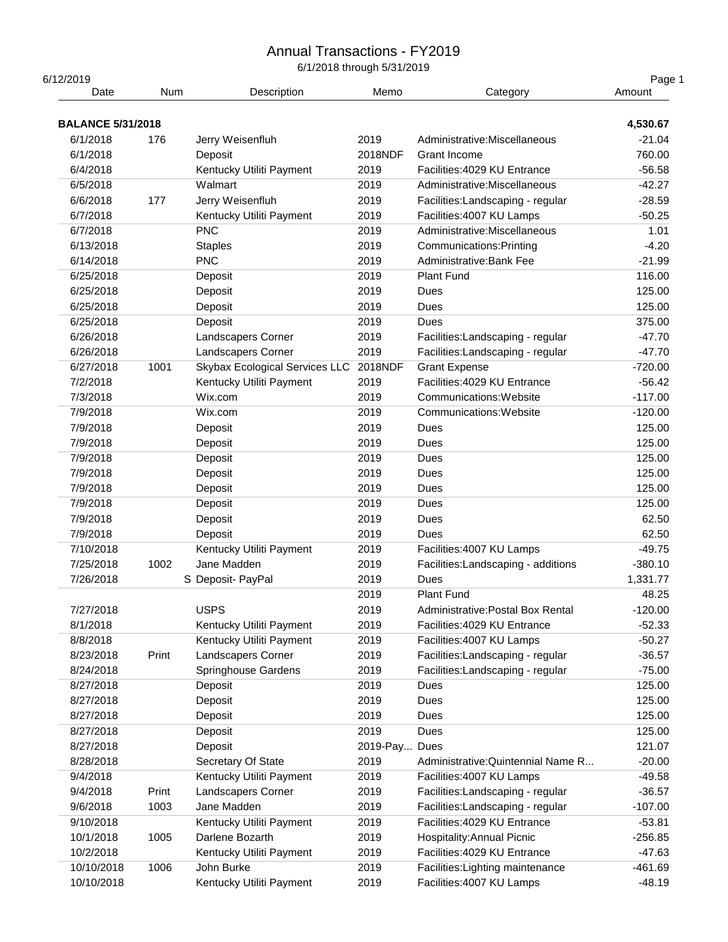## Annual Transactions - FY2019

6/1/2018 through 5/31/2019

| 6/12/2019                |       |                                          |               |                                     | Page 1    |
|--------------------------|-------|------------------------------------------|---------------|-------------------------------------|-----------|
| Date                     | Num   | Description                              | Memo          | Category                            | Amount    |
| <b>BALANCE 5/31/2018</b> |       |                                          |               |                                     | 4,530.67  |
| 6/1/2018                 | 176   | Jerry Weisenfluh                         | 2019          | Administrative: Miscellaneous       | $-21.04$  |
| 6/1/2018                 |       | Deposit                                  | 2018NDF       | Grant Income                        | 760.00    |
| 6/4/2018                 |       | Kentucky Utiliti Payment                 | 2019          | Facilities: 4029 KU Entrance        | $-56.58$  |
| 6/5/2018                 |       | Walmart                                  | 2019          | Administrative: Miscellaneous       | $-42.27$  |
| 6/6/2018                 | 177   | Jerry Weisenfluh                         | 2019          | Facilities: Landscaping - regular   | $-28.59$  |
| 6/7/2018                 |       | Kentucky Utiliti Payment                 | 2019          | Facilities: 4007 KU Lamps           | $-50.25$  |
| 6/7/2018                 |       | <b>PNC</b>                               | 2019          | Administrative:Miscellaneous        | 1.01      |
| 6/13/2018                |       | <b>Staples</b>                           | 2019          | Communications: Printing            | $-4.20$   |
| 6/14/2018                |       | <b>PNC</b>                               | 2019          | Administrative: Bank Fee            | $-21.99$  |
| 6/25/2018                |       | Deposit                                  | 2019          | <b>Plant Fund</b>                   | 116.00    |
| 6/25/2018                |       | Deposit                                  | 2019          | Dues                                | 125.00    |
| 6/25/2018                |       | Deposit                                  | 2019          | Dues                                | 125.00    |
| 6/25/2018                |       |                                          | 2019          | Dues                                | 375.00    |
| 6/26/2018                |       | Deposit                                  |               |                                     |           |
|                          |       | Landscapers Corner<br>Landscapers Corner | 2019<br>2019  | Facilities: Landscaping - regular   | $-47.70$  |
| 6/26/2018                |       |                                          |               | Facilities: Landscaping - regular   | $-47.70$  |
| 6/27/2018                | 1001  | Skybax Ecological Services LLC           | 2018NDF       | <b>Grant Expense</b>                | $-720.00$ |
| 7/2/2018                 |       | Kentucky Utiliti Payment                 | 2019          | Facilities: 4029 KU Entrance        | $-56.42$  |
| 7/3/2018                 |       | Wix.com                                  | 2019          | Communications: Website             | $-117.00$ |
| 7/9/2018                 |       | Wix.com                                  | 2019          | Communications: Website             | $-120.00$ |
| 7/9/2018                 |       | Deposit                                  | 2019          | Dues                                | 125.00    |
| 7/9/2018                 |       | Deposit                                  | 2019          | Dues                                | 125.00    |
| 7/9/2018                 |       | Deposit                                  | 2019          | Dues                                | 125.00    |
| 7/9/2018                 |       | Deposit                                  | 2019          | Dues                                | 125.00    |
| 7/9/2018                 |       | Deposit                                  | 2019          | Dues                                | 125.00    |
| 7/9/2018                 |       | Deposit                                  | 2019          | Dues                                | 125.00    |
| 7/9/2018                 |       | Deposit                                  | 2019          | Dues                                | 62.50     |
| 7/9/2018                 |       | Deposit                                  | 2019          | Dues                                | 62.50     |
| 7/10/2018                |       | Kentucky Utiliti Payment                 | 2019          | Facilities: 4007 KU Lamps           | $-49.75$  |
| 7/25/2018                | 1002  | Jane Madden                              | 2019          | Facilities: Landscaping - additions | $-380.10$ |
| 7/26/2018                |       | S Deposit- PayPal                        | 2019          | Dues                                | 1,331.77  |
|                          |       |                                          | 2019          | <b>Plant Fund</b>                   | 48.25     |
| 7/27/2018                |       | <b>USPS</b>                              | 2019          | Administrative: Postal Box Rental   | $-120.00$ |
| 8/1/2018                 |       | Kentucky Utiliti Payment                 | 2019          | Facilities: 4029 KU Entrance        | $-52.33$  |
| 8/8/2018                 |       | Kentucky Utiliti Payment                 | 2019          | Facilities: 4007 KU Lamps           | $-50.27$  |
| 8/23/2018                | Print | Landscapers Corner                       | 2019          | Facilities: Landscaping - regular   | $-36.57$  |
| 8/24/2018                |       | Springhouse Gardens                      | 2019          | Facilities: Landscaping - regular   | $-75.00$  |
| 8/27/2018                |       | Deposit                                  | 2019          | Dues                                | 125.00    |
| 8/27/2018                |       | Deposit                                  | 2019          | Dues                                | 125.00    |
| 8/27/2018                |       | Deposit                                  | 2019          | Dues                                | 125.00    |
| 8/27/2018                |       | Deposit                                  | 2019          | Dues                                | 125.00    |
| 8/27/2018                |       | Deposit                                  | 2019-Pay Dues |                                     | 121.07    |
| 8/28/2018                |       | Secretary Of State                       | 2019          | Administrative: Quintennial Name R  | $-20.00$  |
| 9/4/2018                 |       | Kentucky Utiliti Payment                 | 2019          | Facilities: 4007 KU Lamps           | $-49.58$  |
| 9/4/2018                 | Print | Landscapers Corner                       | 2019          | Facilities: Landscaping - regular   | $-36.57$  |
| 9/6/2018                 | 1003  | Jane Madden                              | 2019          | Facilities: Landscaping - regular   | $-107.00$ |
| 9/10/2018                |       | Kentucky Utiliti Payment                 | 2019          | Facilities: 4029 KU Entrance        | $-53.81$  |
| 10/1/2018                | 1005  | Darlene Bozarth                          | 2019          | Hospitality: Annual Picnic          | $-256.85$ |
| 10/2/2018                |       | Kentucky Utiliti Payment                 | 2019          | Facilities: 4029 KU Entrance        | $-47.63$  |
| 10/10/2018               | 1006  | John Burke                               | 2019          | Facilities: Lighting maintenance    | $-461.69$ |
| 10/10/2018               |       | Kentucky Utiliti Payment                 | 2019          | Facilities: 4007 KU Lamps           | $-48.19$  |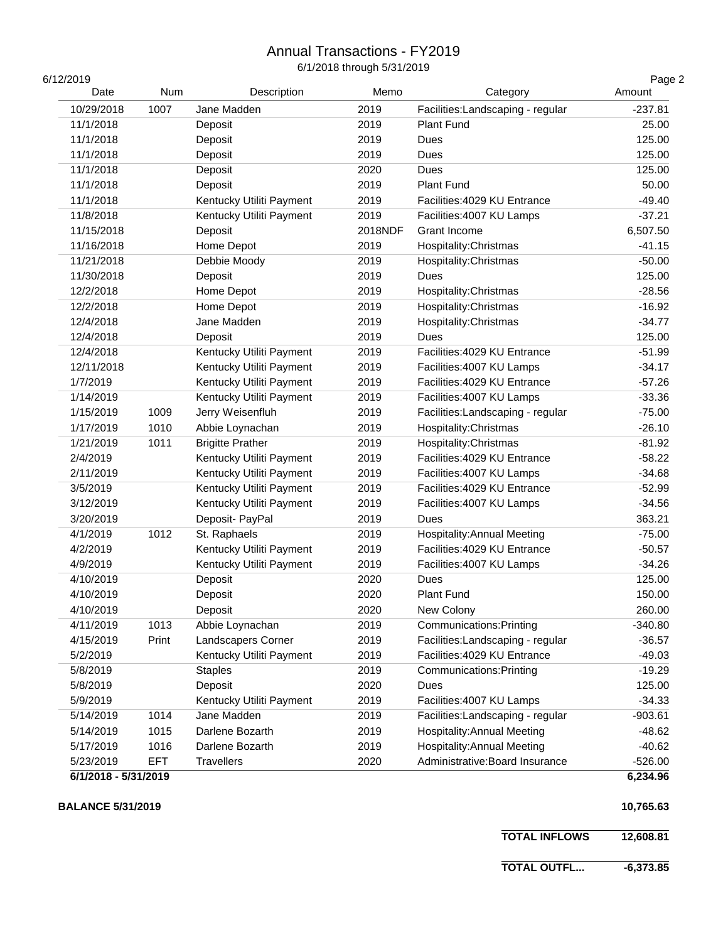## Annual Transactions - FY2019

6/1/2018 through 5/31/2019

| 6/12/2019            |            |                          |         |                                   | Page 2    |
|----------------------|------------|--------------------------|---------|-----------------------------------|-----------|
| Date                 | <b>Num</b> | Description              | Memo    | Category                          | Amount    |
| 10/29/2018           | 1007       | Jane Madden              | 2019    | Facilities: Landscaping - regular | $-237.81$ |
| 11/1/2018            |            | Deposit                  | 2019    | <b>Plant Fund</b>                 | 25.00     |
| 11/1/2018            |            | Deposit                  | 2019    | Dues                              | 125.00    |
| 11/1/2018            |            | Deposit                  | 2019    | Dues                              | 125.00    |
| 11/1/2018            |            | Deposit                  | 2020    | Dues                              | 125.00    |
| 11/1/2018            |            | Deposit                  | 2019    | <b>Plant Fund</b>                 | 50.00     |
| 11/1/2018            |            | Kentucky Utiliti Payment | 2019    | Facilities: 4029 KU Entrance      | $-49.40$  |
| 11/8/2018            |            | Kentucky Utiliti Payment | 2019    | Facilities: 4007 KU Lamps         | $-37.21$  |
| 11/15/2018           |            | Deposit                  | 2018NDF | Grant Income                      | 6,507.50  |
| 11/16/2018           |            | Home Depot               | 2019    | Hospitality: Christmas            | $-41.15$  |
| 11/21/2018           |            | Debbie Moody             | 2019    | Hospitality: Christmas            | $-50.00$  |
| 11/30/2018           |            | Deposit                  | 2019    | Dues                              | 125.00    |
| 12/2/2018            |            | Home Depot               | 2019    | Hospitality: Christmas            | $-28.56$  |
| 12/2/2018            |            | Home Depot               | 2019    | Hospitality: Christmas            | $-16.92$  |
| 12/4/2018            |            | Jane Madden              | 2019    | Hospitality: Christmas            | $-34.77$  |
| 12/4/2018            |            | Deposit                  | 2019    | Dues                              | 125.00    |
| 12/4/2018            |            | Kentucky Utiliti Payment | 2019    | Facilities: 4029 KU Entrance      | $-51.99$  |
| 12/11/2018           |            | Kentucky Utiliti Payment | 2019    | Facilities: 4007 KU Lamps         | $-34.17$  |
| 1/7/2019             |            | Kentucky Utiliti Payment | 2019    | Facilities: 4029 KU Entrance      | $-57.26$  |
| 1/14/2019            |            | Kentucky Utiliti Payment | 2019    | Facilities: 4007 KU Lamps         | $-33.36$  |
| 1/15/2019            | 1009       | Jerry Weisenfluh         | 2019    | Facilities: Landscaping - regular | $-75.00$  |
| 1/17/2019            | 1010       | Abbie Loynachan          | 2019    | Hospitality: Christmas            | $-26.10$  |
| 1/21/2019            | 1011       | <b>Brigitte Prather</b>  | 2019    | Hospitality: Christmas            | $-81.92$  |
| 2/4/2019             |            | Kentucky Utiliti Payment | 2019    | Facilities: 4029 KU Entrance      | $-58.22$  |
| 2/11/2019            |            | Kentucky Utiliti Payment | 2019    | Facilities: 4007 KU Lamps         | $-34.68$  |
| 3/5/2019             |            | Kentucky Utiliti Payment | 2019    | Facilities: 4029 KU Entrance      | $-52.99$  |
| 3/12/2019            |            | Kentucky Utiliti Payment | 2019    | Facilities: 4007 KU Lamps         | $-34.56$  |
| 3/20/2019            |            | Deposit- PayPal          | 2019    | Dues                              | 363.21    |
| 4/1/2019             | 1012       | St. Raphaels             | 2019    | Hospitality: Annual Meeting       | $-75.00$  |
| 4/2/2019             |            | Kentucky Utiliti Payment | 2019    | Facilities: 4029 KU Entrance      | $-50.57$  |
| 4/9/2019             |            | Kentucky Utiliti Payment | 2019    | Facilities: 4007 KU Lamps         | $-34.26$  |
| 4/10/2019            |            | Deposit                  | 2020    | Dues                              | 125.00    |
| 4/10/2019            |            | Deposit                  | 2020    | <b>Plant Fund</b>                 | 150.00    |
| 4/10/2019            |            | Deposit                  | 2020    | New Colony                        | 260.00    |
| 4/11/2019            | 1013       | Abbie Loynachan          | 2019    | Communications: Printing          | -340.80   |
| 4/15/2019            | Print      | Landscapers Corner       | 2019    | Facilities: Landscaping - regular | $-36.57$  |
| 5/2/2019             |            | Kentucky Utiliti Payment | 2019    | Facilities: 4029 KU Entrance      | $-49.03$  |
| 5/8/2019             |            | <b>Staples</b>           | 2019    | Communications: Printing          | $-19.29$  |
| 5/8/2019             |            | Deposit                  | 2020    | Dues                              | 125.00    |
| 5/9/2019             |            | Kentucky Utiliti Payment | 2019    | Facilities: 4007 KU Lamps         | $-34.33$  |
| 5/14/2019            | 1014       | Jane Madden              | 2019    | Facilities: Landscaping - regular | $-903.61$ |
| 5/14/2019            | 1015       | Darlene Bozarth          | 2019    | <b>Hospitality:Annual Meeting</b> | $-48.62$  |
| 5/17/2019            | 1016       | Darlene Bozarth          | 2019    | <b>Hospitality:Annual Meeting</b> | $-40.62$  |
| 5/23/2019            | <b>EFT</b> | Travellers               | 2020    | Administrative: Board Insurance   | $-526.00$ |
| 6/1/2018 - 5/31/2019 |            |                          |         |                                   | 6,234.96  |

**BALANCE 5/31/2019 10,765.63**

**TOTAL INFLOWS 12,608.81**

**TOTAL OUTFL... -6,373.85**